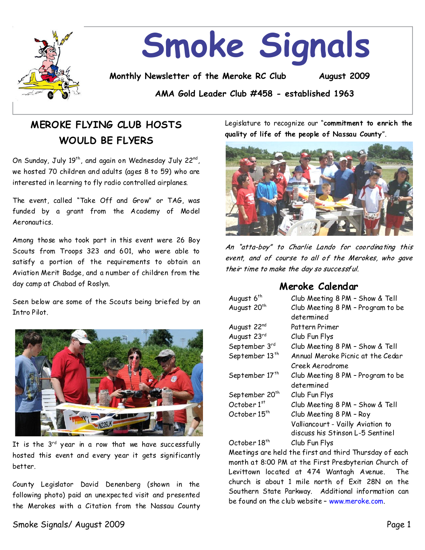

# **Smoke Signals**

**Monthly Newsletter of the Meroke RC Club August 2009**

**AMA Gold Leader Club #458 - established 1963**

## **MEROKE FLYING CLUB HOSTS WOULD BE FLYERS**

On Sunday, July 19 $^{\sf th}$ , and again on Wednesday July 22 $^{\sf nd}$ , we hosted 70 children and adults (ages 8 to 59) who are interested in learning to fly radio controlled airplanes.

The event, called "Take Off and Grow" or TAG, was funded by a grant from the Academy of Model Aeronautics.

Among those who took part in this event were 26 Boy Scouts from Troops 323 and 601, who were able to satisfy a portion of the requirements to obtain an Aviation Merit Badge, and a number of children from the day camp at Chabad of Roslyn.

Seen below are some of the Scouts being briefed by an Intro Pilot.



It is the  $3^{rd}$  year in a row that we have successfully hosted this event and every year it gets significantly better.

County Legislator David Denenberg (shown in the following photo) paid an unexpected visit and presented the Merokes with a Citation from the Nassau County

Legislature to recognize our "commitment to enrich the **quality of life of the people of Nassau County**".



An "atta-boy" to Charlie Lando for coordinating this event, and of course to all of the Merokes, who gave their time to make the day so successful.

## **Meroke Calendar**

| August 6 <sup>th</sup>      | Club Meeting 8 PM - Show & Tell   |  |  |
|-----------------------------|-----------------------------------|--|--|
| August 20 <sup>th</sup>     | Club Meeting 8 PM - Program to be |  |  |
|                             | determined                        |  |  |
| August 22nd                 | Pattern Primer                    |  |  |
| August 23rd                 | Club Fun Flys                     |  |  |
| September 3rd               | Club Meeting 8 PM - Show & Tell   |  |  |
| September 13 <sup>th</sup>  | Annual Meroke Picnic at the Cedar |  |  |
|                             | Creek Aerodrome                   |  |  |
| September 17 <sup>th</sup>  | Club Meeting 8 PM - Program to be |  |  |
|                             | determined                        |  |  |
| September 20 <sup>th</sup>  | Club Fun Flys                     |  |  |
| October 1st                 | Club Meeting 8 PM - Show & Tell   |  |  |
| October 15 <sup>th</sup>    | Club Meeting 8 PM - Roy           |  |  |
|                             | Valliancourt - Vailly Aviation to |  |  |
|                             | discuss his Stinson L-5 Sentinel  |  |  |
| $Oct$ ahan 19 <sup>th</sup> | $\mathcal{C}$ lub Eun Elve        |  |  |

October 18<sup>th</sup> Club Fun Flys

Meetings are held the first and third Thursday of each month at 8:00 PM at the First Presbyterian Church of Levittown located at 474 Wantagh Avenue. The church is about 1 mile north of Exit 28N on the Southern State Parkway. Additional information can be found on the club website–www.meroke.com.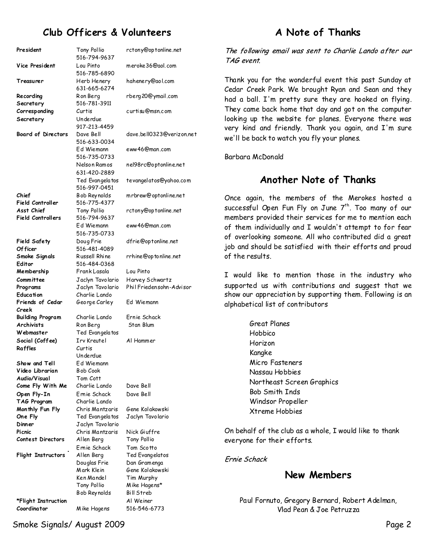## **Club Officers & Volunteers**

| President                        | Tony Pollio<br>516-794-9637     | rctony@optonline.net      |  |
|----------------------------------|---------------------------------|---------------------------|--|
| Vice President                   | Lou Pinto<br>516-785-6890       | meroke 36@aol.com         |  |
| Treasurer                        | Herb Henery<br>631-665-6274     | hahenery@aol.com          |  |
| Recording                        | Ron Berg                        | rberg 20@ymail.com        |  |
| Secretary                        | 516-781-3911                    |                           |  |
| Corresponding                    | Curtis                          | curtisu@msn.com           |  |
| Secretary                        | Underdue                        |                           |  |
|                                  | 917-213-4459                    |                           |  |
| <b>Board of Directors</b>        | Dave Bell                       | dave.bell0323@verizon.net |  |
|                                  | 516-633-0034                    |                           |  |
|                                  | Ed Wiemann                      | eww46@man.com             |  |
|                                  | 516-735-0733                    |                           |  |
|                                  | Nelson Ramos                    | nel98rc@optonline.net     |  |
|                                  | 631-420-2889                    |                           |  |
|                                  | Ted Evangelatos<br>516-997-0451 | tevangelatos@yahoo.com    |  |
| Chief                            | Bob Reynolds                    | mrbrew@optonline.net      |  |
| Field Controller                 | 516-775-4377                    |                           |  |
| Asst Chief                       | Tony Pollio                     | rctony@optonline.net      |  |
| <b>Field Controllers</b>         | 516-794-9637                    |                           |  |
|                                  | Ed Wiemann                      | eww46@man.com             |  |
|                                  | 516-735-0733                    |                           |  |
| Field Safety                     | Doug Frie<br>516-481-4089       | dfrie@optonline.net       |  |
| Of ficer<br>Smoke Signals        | Russell Rhine                   | rrhine@optonline.net      |  |
| Editor                           | 516-484-0368                    |                           |  |
| Membership                       | Frank Lasala                    | Lou Pinto                 |  |
| Committee                        | Jaclyn Tavolario                | Harvey Schwartz           |  |
| Programs                         | Jaclyn Tavolario                | Phil Friedensohn-Advisor  |  |
| Education                        | Charlie Lando                   |                           |  |
| Friends of Cedar                 | George Carley                   | Ed Wiemann                |  |
| Creek                            |                                 |                           |  |
| <b>Building Program</b>          | Charlie Lando                   | Ernie Schack              |  |
| <b>Archivists</b>                | Ron Berg                        | Stan Blum                 |  |
| Webmaster                        | Ted Evangelatos                 |                           |  |
| Social (Coffee)                  | <b>Irv Kreutel</b>              | Al Hammer                 |  |
| Raffles                          | Curtis                          |                           |  |
|                                  | Underdue                        |                           |  |
| Show and Tell                    | Ed Wiemann                      |                           |  |
| Video Librarian                  | Bob Cook                        |                           |  |
| Audio/Visual<br>Come Fly With Me | Tom Cott<br>Charlie Lando       | Dave Bell                 |  |
|                                  | Ernie Schack                    | Dave Bell                 |  |
| Open Fly-In<br>TAG Program       | Charlie Lando                   |                           |  |
| Monthly Fun Fly                  | Chris Mantzaris                 | Gene Kolakowski           |  |
| One Fly                          | Ted Evangelatos                 | Jaclyn Tavolario          |  |
| Dinner                           | Jaclyn Tavolario                |                           |  |
| Picnic                           | Chris Mantzaris                 | Nick Giuffre              |  |
| Contest Directors                | Allen Berg                      | Tony Pollio               |  |
|                                  | Ernie Schack                    | Tom Scotto                |  |
| Flight Instructors               | Allen Berg                      | Ted Evangelatos           |  |
|                                  | Douglas Frie                    | Dan Gramenga              |  |
|                                  | Mark Klein                      | Gene Kolakowski           |  |
|                                  | Ken Mandel                      | Tim Murphy                |  |
|                                  | Tony Pollio                     | Mike Hagens*              |  |
|                                  | B ob Reynolds                   | Bill Streb                |  |
| *Flight Instruction              |                                 | Al Weiner                 |  |
| Coordinator                      | Mike Hagens                     | 516-546-6773              |  |

## **A Note of Thanks**

The following email was sent to Charlie Lando after our TAG event

Thank you for the wonderful event this past Sunday at Cedar Creek Park. We brought Ryan and Sean and they had a ball. I'm pretty sure they are hooked on flying. They came back home that day and got on the computer looking up the website for planes. Everyone there was very kind and friendly. Thank you again, and I'm sure we'll be back to watch you fly your planes.

Barbara McDonald

## **Another Note of Thanks**

Once again, the members of the Merokes hosted a successful Open Fun Fly on June 7<sup>th</sup>. Too many of our members provided their services for me to mention each of them individually and I wouldn't attempt to for fear of overlooking someone. All who contributed did a great job and should be satisfied with their efforts and proud of the results.

I would like to mention those in the industry who supported us with contributions and suggest that we show our appreciation by supporting them. Following is an alphabetical list of contributors

> Great Planes Hobbico Horizon Kangke Micro Fasteners Nassau Hobbies Northeast Screen Graphics Bob Smith Inds Windsor Propeller Xtreme Hobbies

On behalf of the club as a whole, I would like to thank everyone for their efforts.

Frnie Schack

## **New Members**

Paul Fornuto, Gregory Bernard, Robert Adelman, Vlad Pean&Joe Petruzza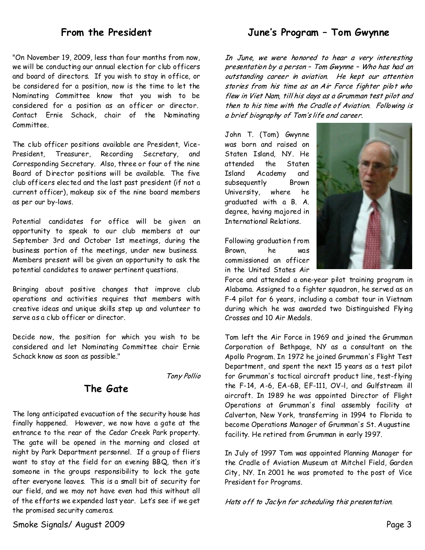## **From the President**

"On November 19, 2009, less than four months from now, we will be conducting our annual election for club officers and board of directors. If you wish to stay in office, or be considered for a position, now is the time to let the Nominating Committee know that you wish to be considered for a position as an officer or director. Contact Ernie Schack, chair of the Nominating Committee.

The club officer positions available are President, Vice-President, Treasurer, Recording Secretary, Corresponding Secretary. Also, three or four of the nine Board of Director positions will be available. The five club officers elected and the last past president (if not a current officer), makeup six of the nine board members as per our by-laws.

Potential candidates for office will be given an opportunity to speak to our club members at our September 3rd and October 1st meetings, during the business portion of the meetings, under new business. Members present will be given an opportunity to ask the potential candidates to answer pertinent questions.

Bringing about positive changes that improve club operations and activities requires that members with creative ideas and unique skills stepup and volunteer to serve as a club officer or director.

Decide now, the position for which you wish to be considered and let Nominating Committee chair Ernie Schack know as soon as possible."

Tony Pollio

## **The Gate**

The long anticipated evacuation of the security house has finally happened. However, we now have a gate at the entrance to the rear of the Cedar Creek Park property. The gate will be opened in the morning and closed at night by Park Department personnel. If a group of fliers want to stay at the field for an evening BBQ, then it's someone in the groups responsibility to lock the gate after everyone leaves. This is a small bit of security for our field, and we may not have even had this without all of the efforts we expended last year. Let's see if we get the promised security cameras.

June's Program - Tom Gwynne

In June, we were honored to hear a very interesting presentation by a person - Tom Gwynne - Who has had an outstanding career in aviation. He kept our attention stories from his time as an Air Force fighter pilot who flew in Viet Nam, till his days as a Grumman test pilot and then to his time with the Cradle of Aviation. Following is a brief biography of Tom's life and career.

John T. (Tom) Gwynne was born and raised on Staten Island, NY. He attended the Staten Island Academy and subsequently Brown University, where he graduated with a B. A. degree, having majored in International Relations.



Following graduation from Brown, he was commissioned an officer in the United States Air

Force and attended a one-year pilot training program in Alabama. Assigned to a fighter squadron, he served as an F-4 pilot for 6 years, including a combat tour in Vietnam during which he was awarded two Distinguished Flying Crosses and 10 Air Medals.

Tom left the Air Force in 1969 and joined the Grumman Corporation of Bethpage, NY as a consultant on the Apollo Program. In/1972 he joined Grumman's Flight Test Department, and spent the next 15 years as atest pilot for Grumman's tactical aircraft product line, test-flying the F-14, A-6, EA-6B, EF-111, OV-I, and Gulfstream ill aircraft. In 1989 hewas appointed Director of Flight Operations at Grumman's final assembly facility at Calverton, New York, transferring in 1994 to Florida to become Operations Manager of Grumman's St. Augustine facility. He retired from Grumman in early 1997.

In July of 1997 Tom was appointed Planning Manager for the Cradle of Aviation Museum at Mitchel Field, Garden City, NY. In 2001 he was promoted to the post of Vice President for Programs.

Hats off to Jaclyn for scheduling this presentation.

Smoke Signals/ August 2009 Page 3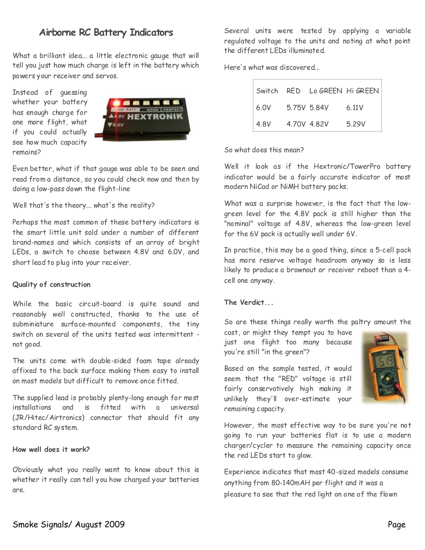## **Airborne RC Battery Indicators**

What a brilliant idea... a little electronic gauge that will tell you just how much charge is left in the battery which powers your receiver and servos.

Instead of guessing whether your battery has enough charge for one more flight, what if you could actually see how much capacity remains?



Even better, what if that gauge was able to be seen and read from a distance, so you could check now and then by doing a low-pass down the flight-line

Well that's the theory... what's the reality?

Perhaps the most common of these battery indicators is the smart little unit sold under a number of different brand-names and which consists of an array of bright LEDs, a switch to choose between 4.8V and 6.0V, and short lead to plug into your receiver.

#### **Quality of construction**

While the basic circuit-board is quite sound and reasonably well constructed, thanks to the use of subminiature surface-mounted components, the tiny switch on several of the units tested was intermittent not good.

The units come with double-sided foam tape already affixed to the back surface making them easy to install on most models but difficult to remove once fitted.

The supplied lead is probably plenty-long enough for most installations and is fitted with a universal (JR/Hitec/Airtronics) connector that should fit any standard RC system.

#### **How well does it work?**

Obviously what you really want to know about this is whether it really can tell you how charged your batteries are.

Several units were tested by applying a variable regulated voltage to the units and noting at what point the different LEDs illuminated.

Here's what was discovered

|                        |             | Switch RED Lo GREEN Hi GREEN |
|------------------------|-------------|------------------------------|
| $6.0V$ $5.75V$ $5.84V$ |             | 6.11V                        |
| 4.8V                   | 4,70V 4,82V | 5.29V                        |

So what does this mean?

Well it look as if the Hextronic/TowerPro battery indicator would be a fairly accurate indicator of most modern NiCad or NiMH battery packs.

What was a surprise however, is the fact that the low green level for the 4.8V pack is still higher than the "nominal" voltage of 4.8V, whereas the low-green level for the 6V pack is actually well under 6V.

In practice, this may be a good thing, since a 5-cell pack has more reserve voltage headroom anyway so is less likely to produce a brownout or receiver reboot than a 4 cell one anyway.

#### **The Verdict...**

So are these things really worth the paltry amount the

cost, or might they tempt you to have just one flight too many because you're still "in the green"?

Based on the sample tested, it would seem that the "RED" voltage is still fairly conservatively high making it unlikely they'll over-estimate your remaining capacity.



However, the most effective way to be sure you're not going to run your batteries flat is to use a modern charger/cycler to measure the remaining capacity once the red LEDs start to glow.

Experience indicates that most40-sized models consume anything from 80-140mAH per flight and it was a pleasure to see that the red light on one of the flown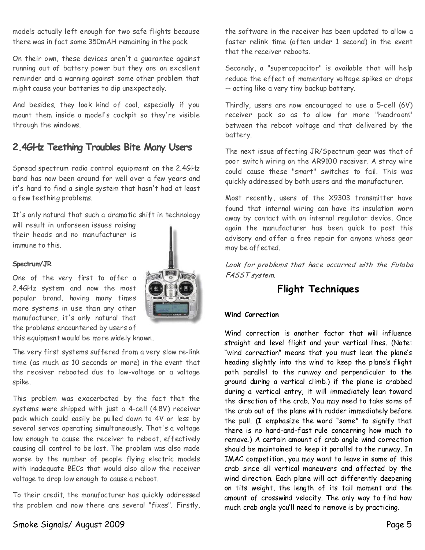models actually left enough for two safe flights because there was in fact some 350mAH remaining in the pack.

On their own, these devices aren't a guarantee against running out of battery power but they are an excellent reminder and a warning against some other problem that might cause your batteries to dip unexpectedly.

And besides, they look kind of cool, especially if you mount them inside a model's cockpit so they're visible through the windows.

## **2.4GHz Teething Troubles Bite Many Users**

Spread spectrum radio control equipment on the 2.4GHz band has now been around for well over a few years and it's hard to find a single system that hasn't had at least a few teething problems.

It's only natural that such a dramatic shift in technology will result in unforseen issues raising their heads and no manufacturer is immune to this.

#### **Spectrum/JR**

One of the very first to offer a 2.4GHz system and now the most popular brand, having many times more systems in use than any other manufacturer, it's only natural that the problems encountered by users of



this equipment would be more widely known.

The very first systems suffered from a very slow re-link time (as much as 10 seconds or more) in the event that the receiver rebooted due to low-voltage or a voltage spike.

This problem was exacerbated by the fact that the systems were shipped with just a 4-cell (4.8V) receiver pack which could easily be pulled down to 4V or less by several servos operating simultaneously. That's a voltage low enough to cause the receiver to reboot, effectively causing all control to be lost. The problem was also made worse by the number of people flying electric models with inadequate BECs that would also allow the receiver voltage to drop low enough to cause a reboot.

To their credit, the manufacturer has quickly addressed the problem and now there are several "fixes". Firstly,

the software in the receiver has been updated to allow a faster relink time (often under 1 second) in the event that the receiver reboots.

Secondly, a "supercapacitor" is available that will help reduce the effect of momentary voltage spikes or drops --acting like a very tiny backup battery.

Thirdly, users are now encouraged to use a 5-cell (6V) receiver pack so as to allow far more "headroom" between the reboot voltage and that delivered by the battery.

The next issue affecting JR/Spectrum gear was that of poor switch wiring on the AR9100 receiver. A stray wire could cause these "smart" switches to fail. This was quickly addressed by both users and the manufacturer.

Most recently, users of the X9303 transmitter have found that internal wiring can have its insulation worn away by contact with an internal regulator device. Once again the manufacturer has been quick to post this advisory and offer a free repair for anyone whose gear may be affected.

Look for problems that hace occurred with the Futaba FASST system.

## **Flight Techniques**

#### **Wind Correction**

Wind correction is another factor that will influence straight and level flight and your vertical lines. (Note: "wind correction" means that you must lean the plane's heading slightly into the wind to keep the plane's flight path parallel to the runway and perpendicular to the ground during a vertical climb.) if the plane is crabbed during a vertical entry, it will immediately lean toward the direction of the crab. You may need to take some of the crab out of the plane with rudder immediately before the pull. (I emphasize the word "some" to signify that there is no hard-and-fast rule concerning how much to remove.) A certain amount of crab angle wind correction should be maintained to keep it parallel to the runway. In IMAC competition, you may want to leave in some of this crab since all vertical maneuvers and affected by the wind direction. Each plane will act differently deepening on tits weight, the length of its tail moment and the amount of crosswind velocity. The only way to find how much crab angle you'll need to remove is by practicing.